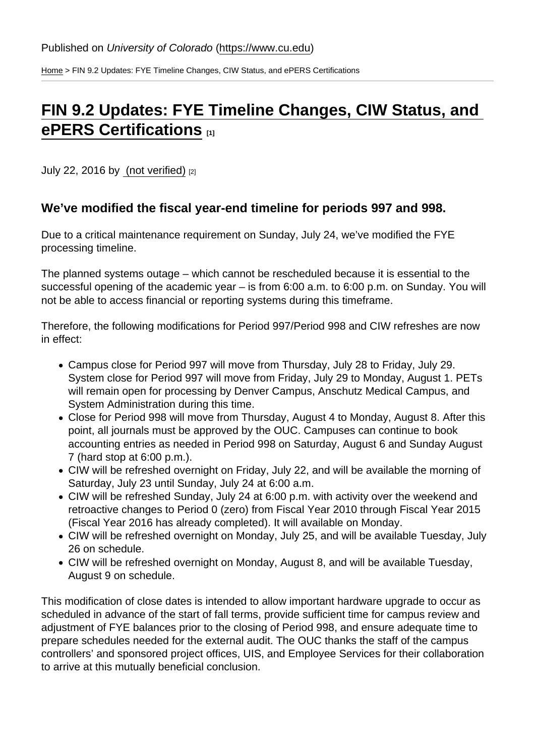[Home](https://www.cu.edu/) > FIN 9.2 Updates: FYE Timeline Changes, CIW Status, and ePERS Certifications

## [FIN 9.2 Updates: FYE Timeline Changes, CIW Status, and](https://www.cu.edu/blog/ouc-news/fin-92-updates-fye-timeline-changes-ciw-status-and-epers-certifications)  [ePERS Certifications](https://www.cu.edu/blog/ouc-news/fin-92-updates-fye-timeline-changes-ciw-status-and-epers-certifications) [1]

July 22, 2016 by [\(not verified\)](https://www.cu.edu/blog/ouc-news/author/0) [2]

We've modified the fiscal year-end timeline for periods 997 and 998.

Due to a critical maintenance requirement on Sunday, July 24, we've modified the FYE processing timeline.

The planned systems outage – which cannot be rescheduled because it is essential to the successful opening of the academic year – is from 6:00 a.m. to 6:00 p.m. on Sunday. You will not be able to access financial or reporting systems during this timeframe.

Therefore, the following modifications for Period 997/Period 998 and CIW refreshes are now in effect:

- Campus close for Period 997 will move from Thursday, July 28 to Friday, July 29. System close for Period 997 will move from Friday, July 29 to Monday, August 1. PETs will remain open for processing by Denver Campus, Anschutz Medical Campus, and System Administration during this time.
- Close for Period 998 will move from Thursday, August 4 to Monday, August 8. After this point, all journals must be approved by the OUC. Campuses can continue to book accounting entries as needed in Period 998 on Saturday, August 6 and Sunday August 7 (hard stop at 6:00 p.m.).
- CIW will be refreshed overnight on Friday, July 22, and will be available the morning of Saturday, July 23 until Sunday, July 24 at 6:00 a.m.
- CIW will be refreshed Sunday, July 24 at 6:00 p.m. with activity over the weekend and retroactive changes to Period 0 (zero) from Fiscal Year 2010 through Fiscal Year 2015 (Fiscal Year 2016 has already completed). It will available on Monday.
- CIW will be refreshed overnight on Monday, July 25, and will be available Tuesday, July 26 on schedule.
- CIW will be refreshed overnight on Monday, August 8, and will be available Tuesday, August 9 on schedule.

This modification of close dates is intended to allow important hardware upgrade to occur as scheduled in advance of the start of fall terms, provide sufficient time for campus review and adjustment of FYE balances prior to the closing of Period 998, and ensure adequate time to prepare schedules needed for the external audit. The OUC thanks the staff of the campus controllers' and sponsored project offices, UIS, and Employee Services for their collaboration to arrive at this mutually beneficial conclusion.